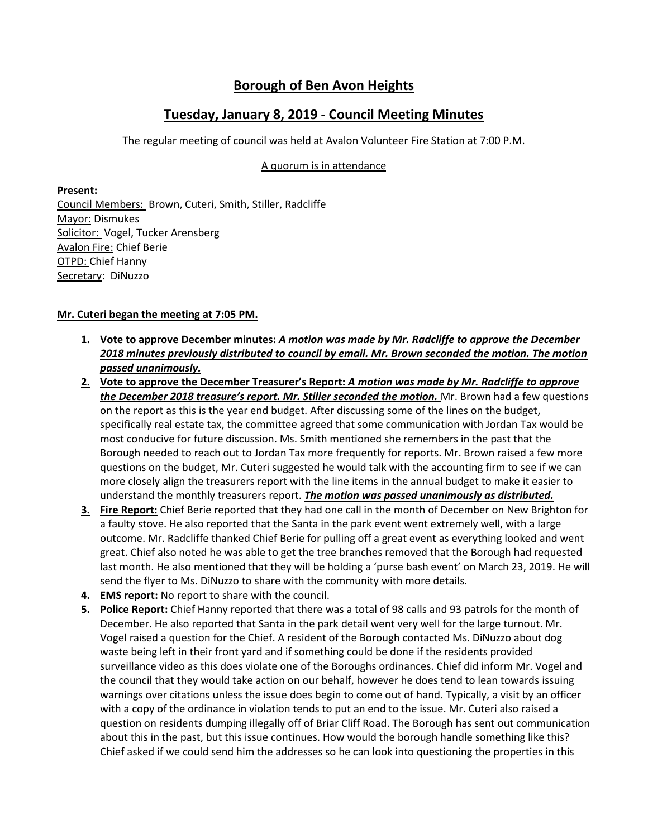## **Borough of Ben Avon Heights**

## **Tuesday, January 8, 2019 - Council Meeting Minutes**

The regular meeting of council was held at Avalon Volunteer Fire Station at 7:00 P.M.

## A quorum is in attendance

**Present:** 

Council Members: Brown, Cuteri, Smith, Stiller, Radcliffe Mayor: Dismukes Solicitor: Vogel, Tucker Arensberg Avalon Fire: Chief Berie OTPD: Chief Hanny Secretary: DiNuzzo

## **Mr. Cuteri began the meeting at 7:05 PM.**

- **1. Vote to approve December minutes:** *A motion was made by Mr. Radcliffe to approve the December 2018 minutes previously distributed to council by email. Mr. Brown seconded the motion. The motion passed unanimously.*
- **2. Vote to approve the December Treasurer's Report:** *A motion was made by Mr. Radcliffe to approve the December 2018 treasure's report. Mr. Stiller seconded the motion.* Mr. Brown had a few questions on the report as this is the year end budget. After discussing some of the lines on the budget, specifically real estate tax, the committee agreed that some communication with Jordan Tax would be most conducive for future discussion. Ms. Smith mentioned she remembers in the past that the Borough needed to reach out to Jordan Tax more frequently for reports. Mr. Brown raised a few more questions on the budget, Mr. Cuteri suggested he would talk with the accounting firm to see if we can more closely align the treasurers report with the line items in the annual budget to make it easier to understand the monthly treasurers report. *The motion was passed unanimously as distributed.*
- **3. Fire Report:** Chief Berie reported that they had one call in the month of December on New Brighton for a faulty stove. He also reported that the Santa in the park event went extremely well, with a large outcome. Mr. Radcliffe thanked Chief Berie for pulling off a great event as everything looked and went great. Chief also noted he was able to get the tree branches removed that the Borough had requested last month. He also mentioned that they will be holding a 'purse bash event' on March 23, 2019. He will send the flyer to Ms. DiNuzzo to share with the community with more details.
- **4. EMS report:** No report to share with the council.
- **5. Police Report:** Chief Hanny reported that there was a total of 98 calls and 93 patrols for the month of December. He also reported that Santa in the park detail went very well for the large turnout. Mr. Vogel raised a question for the Chief. A resident of the Borough contacted Ms. DiNuzzo about dog waste being left in their front yard and if something could be done if the residents provided surveillance video as this does violate one of the Boroughs ordinances. Chief did inform Mr. Vogel and the council that they would take action on our behalf, however he does tend to lean towards issuing warnings over citations unless the issue does begin to come out of hand. Typically, a visit by an officer with a copy of the ordinance in violation tends to put an end to the issue. Mr. Cuteri also raised a question on residents dumping illegally off of Briar Cliff Road. The Borough has sent out communication about this in the past, but this issue continues. How would the borough handle something like this? Chief asked if we could send him the addresses so he can look into questioning the properties in this